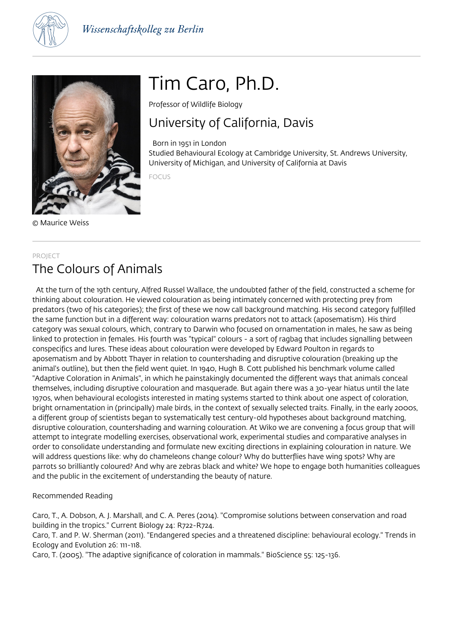



# Tim Caro, Ph.D.

Professor of Wildlife Biology

# University of California, Davis

 Born in 1951 in London Studied Behavioural Ecology at Cambridge University, St. Andrews University, University of Michigan, and University of California at Davis

FOCUS

© Maurice Weiss

# PROJECT The Colours of Animals

 At the turn of the 19th century, Alfred Russel Wallace, the undoubted father of the field, constructed a scheme for thinking about colouration. He viewed colouration as being intimately concerned with protecting prey from predators (two of his categories); the first of these we now call background matching. His second category fulfilled the same function but in a different way: colouration warns predators not to attack (aposematism). His third category was sexual colours, which, contrary to Darwin who focused on ornamentation in males, he saw as being linked to protection in females. His fourth was "typical" colours - a sort of ragbag that includes signalling between conspecifics and lures. These ideas about colouration were developed by Edward Poulton in regards to aposematism and by Abbott Thayer in relation to countershading and disruptive colouration (breaking up the animal's outline), but then the field went quiet. In 1940, Hugh B. Cott published his benchmark volume called "Adaptive Coloration in Animals", in which he painstakingly documented the different ways that animals conceal themselves, including disruptive colouration and masquerade. But again there was a 30-year hiatus until the late 1970s, when behavioural ecologists interested in mating systems started to think about one aspect of coloration, bright ornamentation in (principally) male birds, in the context of sexually selected traits. Finally, in the early 2000s, a different group of scientists began to systematically test century-old hypotheses about background matching, disruptive colouration, countershading and warning colouration. At Wiko we are convening a focus group that will attempt to integrate modelling exercises, observational work, experimental studies and comparative analyses in order to consolidate understanding and formulate new exciting directions in explaining colouration in nature. We will address questions like: why do chameleons change colour? Why do butterflies have wing spots? Why are parrots so brilliantly coloured? And why are zebras black and white? We hope to engage both humanities colleagues and the public in the excitement of understanding the beauty of nature.

# Recommended Reading

Caro, T., A. Dobson, A. J. Marshall, and C. A. Peres (2014). "Compromise solutions between conservation and road building in the tropics." Current Biology 24: R722-R724.

Caro, T. and P. W. Sherman (2011). "Endangered species and a threatened discipline: behavioural ecology." Trends in Ecology and Evolution 26: 111-118.

Caro, T. (2005). "The adaptive significance of coloration in mammals." BioScience 55: 125-136.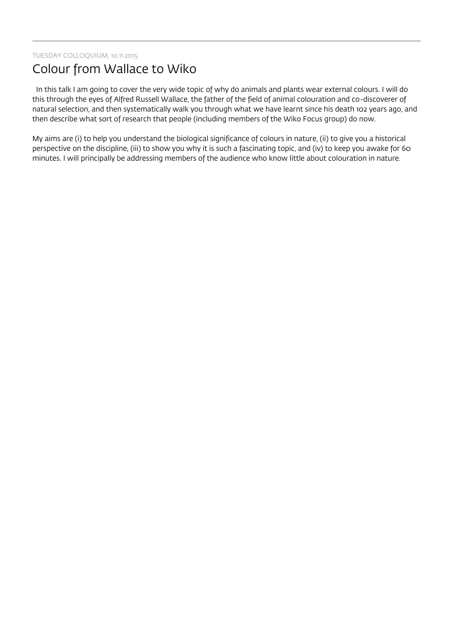# Colour from Wallace to Wiko

 In this talk I am going to cover the very wide topic of why do animals and plants wear external colours. I will do this through the eyes of Alfred Russell Wallace, the father of the field of animal colouration and co-discoverer of natural selection, and then systematically walk you through what we have learnt since his death 102 years ago, and then describe what sort of research that people (including members of the Wiko Focus group) do now.

My aims are (i) to help you understand the biological significance of colours in nature, (ii) to give you a historical perspective on the discipline, (iii) to show you why it is such a fascinating topic, and (iv) to keep you awake for 60 minutes. I will principally be addressing members of the audience who know little about colouration in nature.